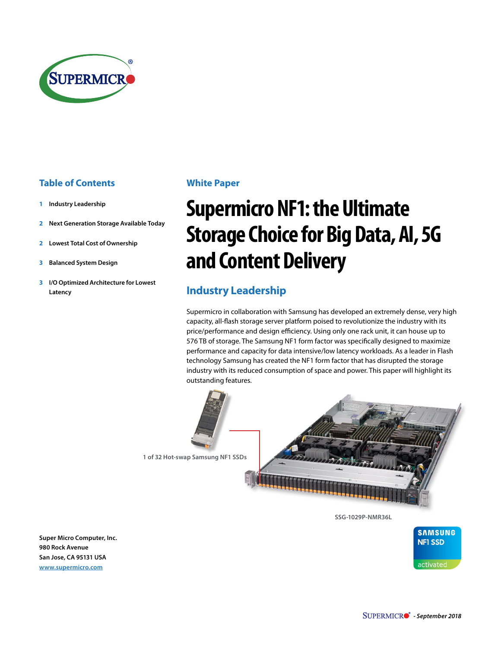

#### **Table of Contents**

- **1 Industry Leadership**
- **2 [Next Generation Storage Available Today](#page-1-0)**
- **2 [Lowest Total Cost of Ownership](#page-1-0)**
- **3 [Balanced System Design](#page-2-0)**
- **3 [I/O Optimized Architecture for Lowest](#page-2-0)  [Latency](#page-2-0)**

#### <span id="page-0-1"></span>**White Paper**

# <span id="page-0-0"></span>**Supermicro NF1: the Ultimate Storage Choice for Big Data, AI, 5G and Content Delivery**

## **Industry Leadership**

Supermicro in collaboration with Samsung has developed an extremely dense, very high capacity, all-flash storage server platform poised to revolutionize the industry with its price/performance and design efficiency. Using only one rack unit, it can house up to 576 TB of storage. The Samsung NF1 form factor was specifically designed to maximize performance and capacity for data intensive/low latency workloads. As a leader in Flash technology Samsung has created the NF1 form factor that has disrupted the storage industry with its reduced consumption of space and power. This paper will highlight its outstanding features.



**[SSG-1029P-NMR36L](https://www.supermicro.com/products/system/1U/1029/SSG-1029P-NMR36L.cfm)**



**Super Micro Computer, Inc. 980 Rock Avenue San Jose, CA 95131 USA [www.supermicro.com](http://www.supermicro.com)**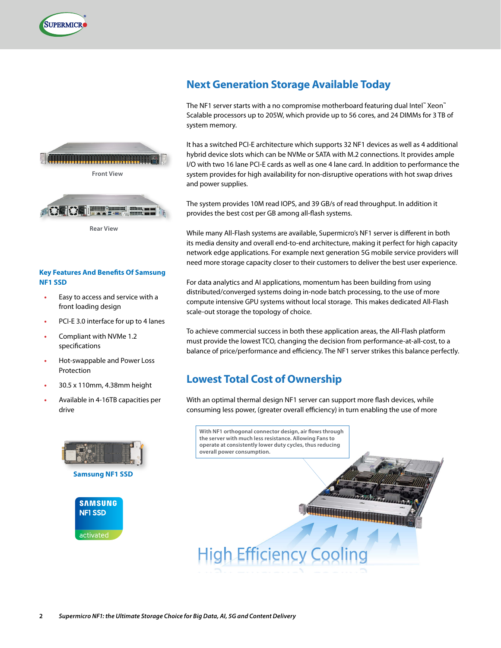<span id="page-1-0"></span>





#### **Key Features And Benefits Of Samsung NF1 SSD**

- **•** Easy to access and service with a front loading design
- **•** PCI-E 3.0 interface for up to 4 lanes
- **•** Compliant with NVMe 1.2 specifications
- **•** Hot-swappable and Power Loss Protection
- **•** 30.5 x 110mm, 4.38mm height
- **•** Available in 4-16TB capacities per drive



## **Next Generation Storage Available Today**

The NF1 server starts with a no compromise motherboard featuring dual Intel™ Xeon™ Scalable processors up to 205W, which provide up to 56 cores, and 24 DIMMs for 3 TB of system memory.

It has a switched PCI-E architecture which supports 32 NF1 devices as well as 4 additional hybrid device slots which can be NVMe or SATA with M.2 connections. It provides ample I/O with two 16 lane PCI-E cards as well as one 4 lane card. In addition to performance the system provides for high availability for non-disruptive operations with hot swap drives and power supplies.

The system provides 10M read IOPS, and 39 GB/s of read throughput. In addition it provides the best cost per GB among all-flash systems.

While many All-Flash systems are available, Supermicro's NF1 server is different in both its media density and overall end-to-end architecture, making it perfect for high capacity network edge applications. For example next generation 5G mobile service providers will need more storage capacity closer to their customers to deliver the best user experience.

For data analytics and AI applications, momentum has been building from using distributed/converged systems doing in-node batch processing, to the use of more compute intensive GPU systems without local storage. This makes dedicated All-Flash scale-out storage the topology of choice.

To achieve commercial success in both these application areas, the All-Flash platform must provide the lowest TCO, changing the decision from performance-at-all-cost, to a balance of price/performance and efficiency. The NF1 server strikes this balance perfectly.

#### **Lowest Total Cost of Ownership**

With an optimal thermal design NF1 server can support more flash devices, while consuming less power, (greater overall efficiency) in turn enabling the use of more

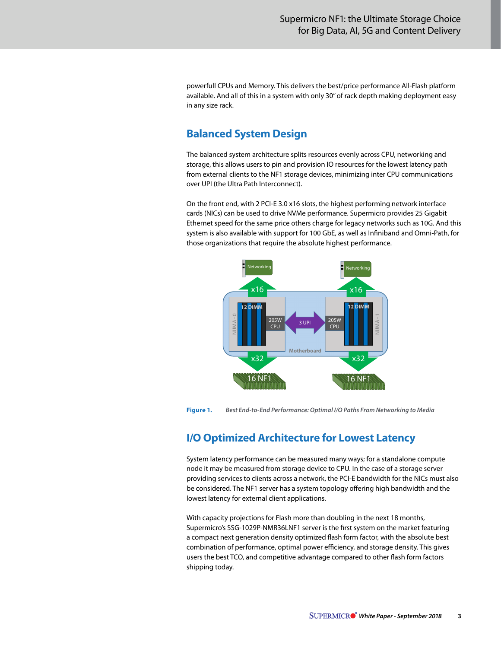<span id="page-2-0"></span>powerfull CPUs and Memory. This delivers the best/price performance All-Flash platform available. And all of this in a system with only 30" of rack depth making deployment easy in any size rack.

### **Balanced System Design**

The balanced system architecture splits resources evenly across CPU, networking and storage, this allows users to pin and provision IO resources for the lowest latency path from external clients to the NF1 storage devices, minimizing inter CPU communications over UPI (the Ultra Path Interconnect).

On the front end, with 2 PCI-E 3.0 x16 slots, the highest performing network interface cards (NICs) can be used to drive NVMe performance. Supermicro provides 25 Gigabit Ethernet speed for the same price others charge for legacy networks such as 10G. And this system is also available with support for 100 GbE, as well as Infiniband and Omni-Path, for those organizations that require the absolute highest performance.



**Figure 1.** *Best End-to-End Performance: Optimal I/O Paths From Networking to Media*

# **I/O Optimized Architecture for Lowest Latency**

System latency performance can be measured many ways; for a standalone compute node it may be measured from storage device to CPU. In the case of a storage server providing services to clients across a network, the PCI-E bandwidth for the NICs must also be considered. The NF1 server has a system topology offering high bandwidth and the lowest latency for external client applications.

With capacity projections for Flash more than doubling in the next 18 months, Supermicro's SSG-1029P-NMR36LNF1 server is the first system on the market featuring a compact next generation density optimized flash form factor, with the absolute best combination of performance, optimal power efficiency, and storage density. This gives users the best TCO, and competitive advantage compared to other flash form factors shipping today.